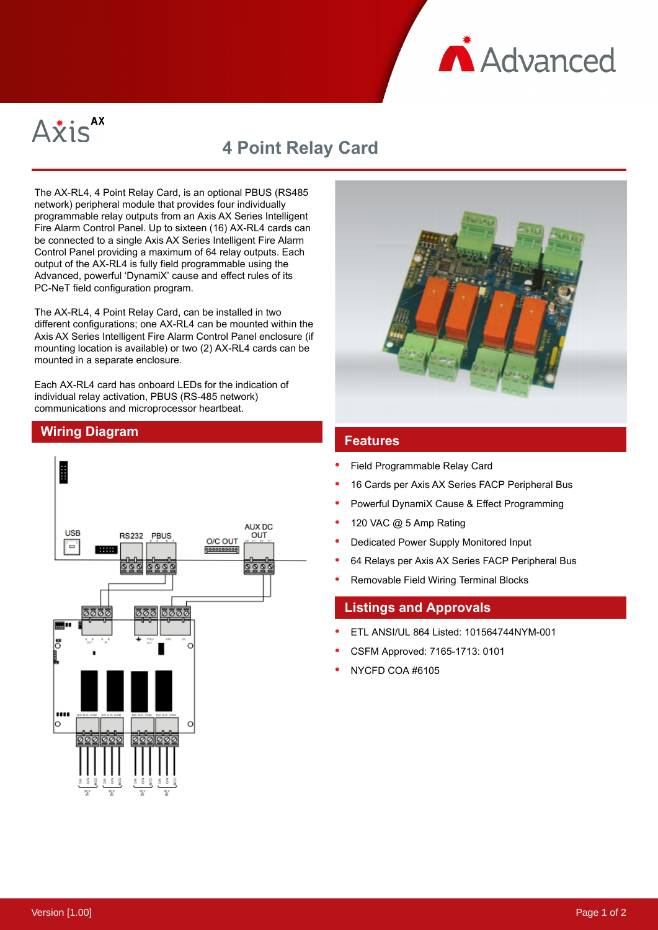



## **4 Point Relay Card**

The AX-RL4, 4 Point Relay Card, is an optional PBUS (RS485 network) peripheral module that provides four individually programmable relay outputs from an Axis AX Series Intelligent Fire Alarm Control Panel. Up to sixteen (16) AX-RL4 cards can be connected to a single Axis AX Series Intelligent Fire Alarm Control Panel providing a maximum of 64 relay outputs. Each output of the AX-RL4 is fully field programmable using the Advanced, powerful 'DynamiX' cause and effect rules of its PC-NeT field configuration program.

The AX-RL4, 4 Point Relay Card, can be installed in two different configurations; one AX-RL4 can be mounted within the Axis AX Series Intelligent Fire Alarm Control Panel enclosure (if mounting location is available) or two (2) AX-RL4 cards can be mounted in a separate enclosure.

Each AX-RL4 card has onboard LEDs for the indication of individual relay activation, PBUS (RS-485 network) communications and microprocessor heartbeat.





- Field Programmable Relay Card
- 16 Cards per Axis AX Series FACP Peripheral Bus
- Powerful DynamiX Cause & Effect Programming
- 120 VAC @ 5 Amp Rating
- Dedicated Power Supply Monitored Input
- 64 Relays per Axis AX Series FACP Peripheral Bus
- Removable Field Wiring Terminal Blocks

## **Listings and Approvals**

- ETL ANSI/UL 864 Listed: 101564744NYM-001
- CSFM Approved: 7165-1713: 0101
- NYCFD COA #6105